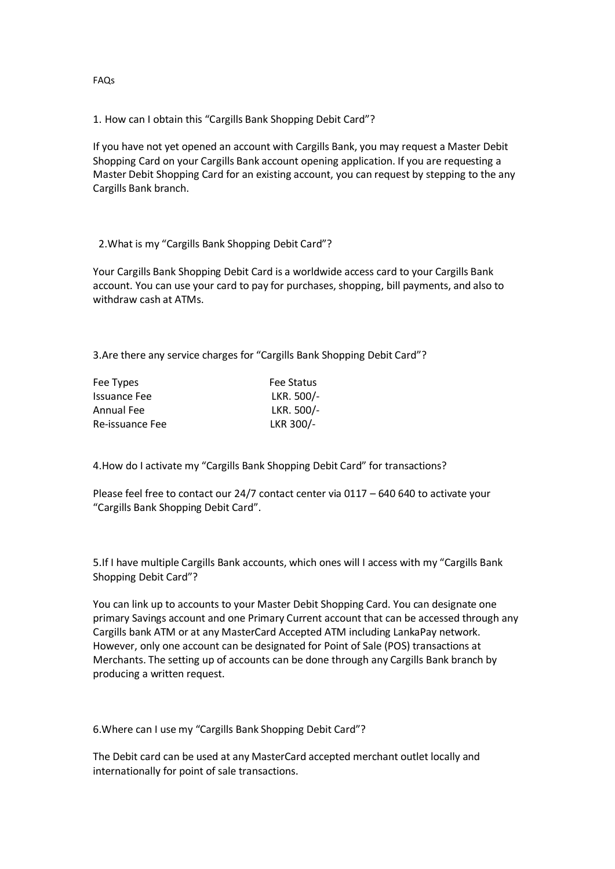1. How can I obtain this "Cargills Bank Shopping Debit Card"?

If you have not yet opened an account with Cargills Bank, you may request a Master Debit Shopping Card on your Cargills Bank account opening application. If you are requesting a Master Debit Shopping Card for an existing account, you can request by stepping to the any Cargills Bank branch.

## 2.What is my "Cargills Bank Shopping Debit Card"?

Your Cargills Bank Shopping Debit Card is a worldwide access card to your Cargills Bank account. You can use your card to pay for purchases, shopping, bill payments, and also to withdraw cash at ATMs.

3.Are there any service charges for "Cargills Bank Shopping Debit Card"?

| Fee Types           | <b>Fee Status</b> |  |
|---------------------|-------------------|--|
| <b>Issuance Fee</b> | LKR. 500/-        |  |
| Annual Fee          | LKR. 500/-        |  |
| Re-issuance Fee     | LKR 300/-         |  |
|                     |                   |  |

4.How do I activate my "Cargills Bank Shopping Debit Card" for transactions?

Please feel free to contact our 24/7 contact center via 0117 – 640 640 to activate your "Cargills Bank Shopping Debit Card".

5.If I have multiple Cargills Bank accounts, which ones will I access with my "Cargills Bank Shopping Debit Card"?

You can link up to accounts to your Master Debit Shopping Card. You can designate one primary Savings account and one Primary Current account that can be accessed through any Cargills bank ATM or at any MasterCard Accepted ATM including LankaPay network. However, only one account can be designated for Point of Sale (POS) transactions at Merchants. The setting up of accounts can be done through any Cargills Bank branch by producing a written request.

6.Where can I use my "Cargills Bank Shopping Debit Card"?

The Debit card can be used at any MasterCard accepted merchant outlet locally and internationally for point of sale transactions.

FAQs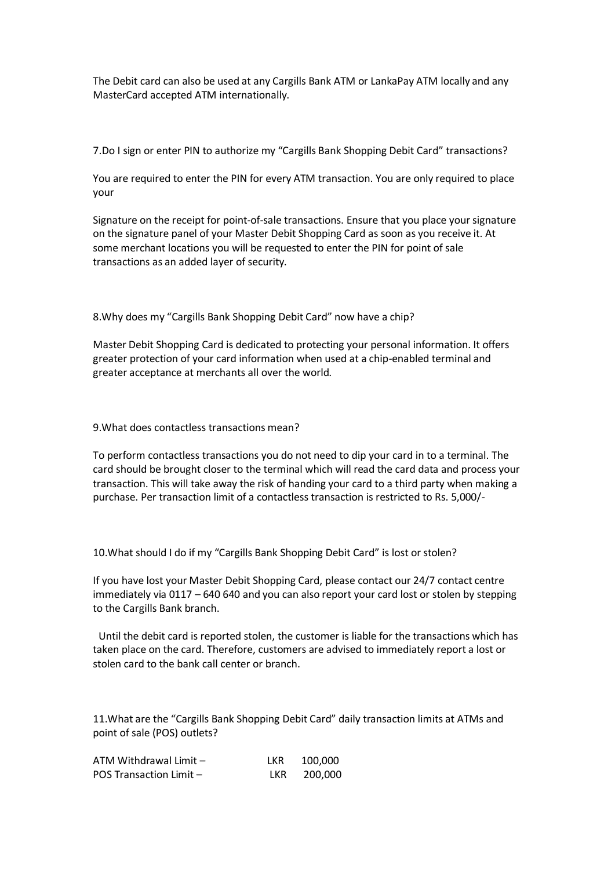The Debit card can also be used at any Cargills Bank ATM or LankaPay ATM locally and any MasterCard accepted ATM internationally.

7.Do I sign or enter PIN to authorize my "Cargills Bank Shopping Debit Card" transactions?

You are required to enter the PIN for every ATM transaction. You are only required to place your

Signature on the receipt for point-of-sale transactions. Ensure that you place your signature on the signature panel of your Master Debit Shopping Card as soon as you receive it. At some merchant locations you will be requested to enter the PIN for point of sale transactions as an added layer of security.

8.Why does my "Cargills Bank Shopping Debit Card" now have a chip?

Master Debit Shopping Card is dedicated to protecting your personal information. It offers greater protection of your card information when used at a chip-enabled terminal and greater acceptance at merchants all over the world.

9.What does contactless transactions mean?

To perform contactless transactions you do not need to dip your card in to a terminal. The card should be brought closer to the terminal which will read the card data and process your transaction. This will take away the risk of handing your card to a third party when making a purchase. Per transaction limit of a contactless transaction is restricted to Rs. 5,000/-

10.What should I do if my "Cargills Bank Shopping Debit Card" is lost or stolen?

If you have lost your Master Debit Shopping Card, please contact our 24/7 contact centre immediately via 0117 – 640 640 and you can also report your card lost or stolen by stepping to the Cargills Bank branch.

Until the debit card is reported stolen, the customer is liable for the transactions which has taken place on the card. Therefore, customers are advised to immediately report a lost or stolen card to the bank call center or branch.

11.What are the "Cargills Bank Shopping Debit Card" daily transaction limits at ATMs and point of sale (POS) outlets?

| ATM Withdrawal Limit -         | LKR. | 100.000 |
|--------------------------------|------|---------|
| <b>POS Transaction Limit -</b> | LKR. | 200,000 |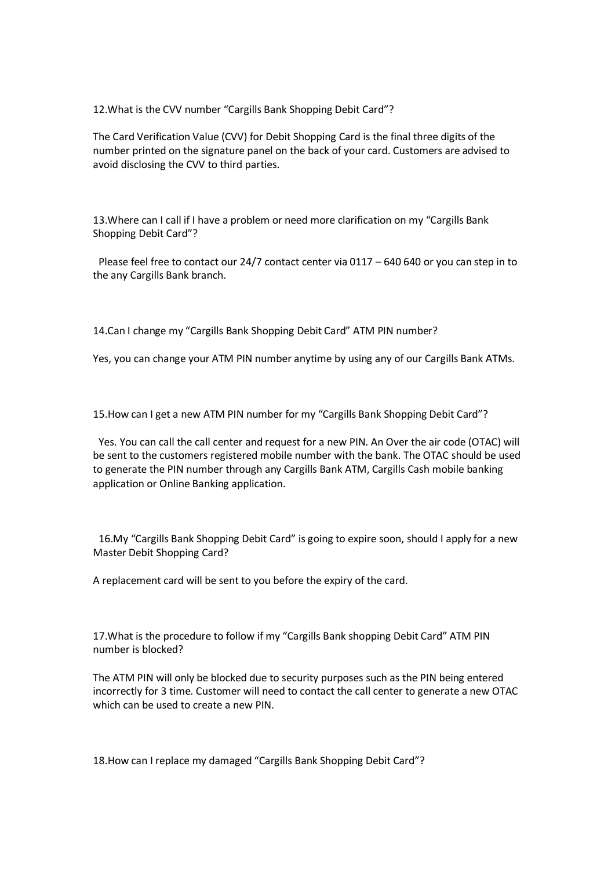12.What is the CVV number "Cargills Bank Shopping Debit Card"?

The Card Verification Value (CVV) for Debit Shopping Card is the final three digits of the number printed on the signature panel on the back of your card. Customers are advised to avoid disclosing the CVV to third parties.

13.Where can I call if I have a problem or need more clarification on my "Cargills Bank Shopping Debit Card"?

Please feel free to contact our 24/7 contact center via 0117 – 640 640 or you can step in to the any Cargills Bank branch.

14.Can I change my "Cargills Bank Shopping Debit Card" ATM PIN number?

Yes, you can change your ATM PIN number anytime by using any of our Cargills Bank ATMs.

15.How can I get a new ATM PIN number for my "Cargills Bank Shopping Debit Card"?

Yes. You can call the call center and request for a new PIN. An Over the air code (OTAC) will be sent to the customers registered mobile number with the bank. The OTAC should be used to generate the PIN number through any Cargills Bank ATM, Cargills Cash mobile banking application or Online Banking application.

16.My "Cargills Bank Shopping Debit Card" is going to expire soon, should I apply for a new Master Debit Shopping Card?

A replacement card will be sent to you before the expiry of the card.

17.What is the procedure to follow if my "Cargills Bank shopping Debit Card" ATM PIN number is blocked?

The ATM PIN will only be blocked due to security purposes such as the PIN being entered incorrectly for 3 time. Customer will need to contact the call center to generate a new OTAC which can be used to create a new PIN.

18.How can I replace my damaged "Cargills Bank Shopping Debit Card"?